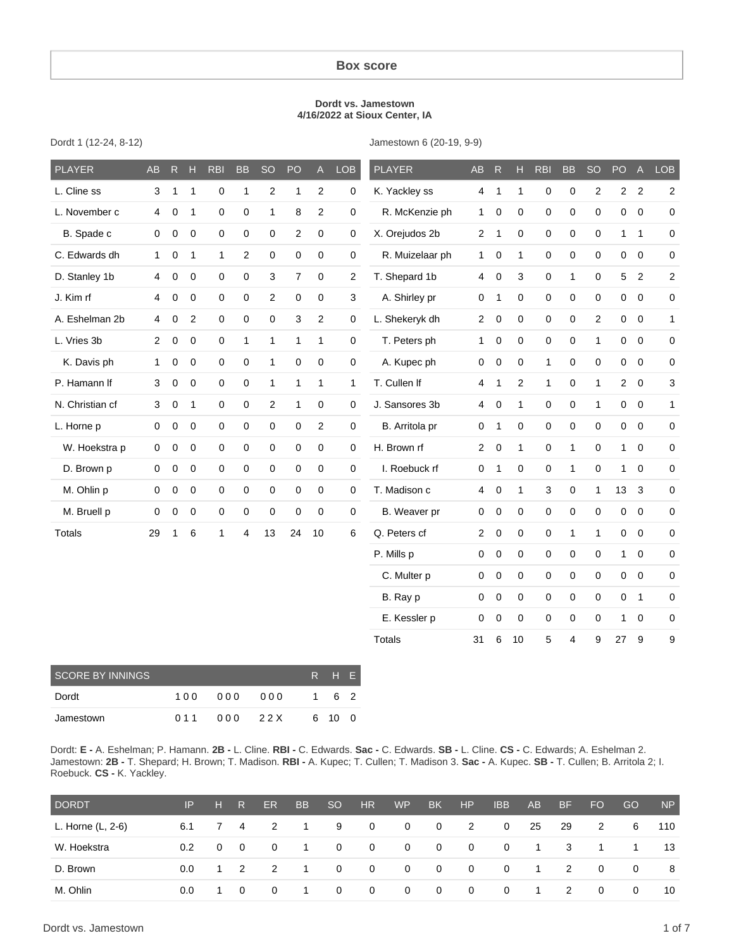#### **Box score**

#### **Dordt vs. Jamestown 4/16/2022 at Sioux Center, IA**

Jamestown 6 (20-19, 9-9)

| <b>PLAYER</b>   | AB             | $R_{\perp}$ | H              | <b>RBI</b>   | <b>BB</b> | SO                  | PO             | $\mathsf{A}$   | <b>LOB</b>          | <b>PLAYER</b>   | AB             | R            | H.           | <b>RBI</b>  | <b>BB</b>      | <b>SO</b>        | PO             | A              | LOB                     |
|-----------------|----------------|-------------|----------------|--------------|-----------|---------------------|----------------|----------------|---------------------|-----------------|----------------|--------------|--------------|-------------|----------------|------------------|----------------|----------------|-------------------------|
| L. Cline ss     | 3              | 1           | $\mathbf{1}$   | 0            | 1         | $\sqrt{2}$          | 1              | $\overline{2}$ | $\mathsf{O}\xspace$ | K. Yackley ss   | 4              | $\mathbf{1}$ | $\mathbf{1}$ | $\pmb{0}$   | 0              | $\sqrt{2}$       | $\overline{2}$ | $\overline{2}$ | $\overline{2}$          |
| L. November c   | 4              | 0           | $\mathbf{1}$   | 0            | 0         | $\mathbf 1$         | 8              | $\overline{2}$ | $\mathbf 0$         | R. McKenzie ph  | 1              | 0            | $\pmb{0}$    | 0           | 0              | $\pmb{0}$        | 0              | $\mathbf 0$    | 0                       |
| B. Spade c      | 0              | 0           | 0              | 0            | 0         | $\mathbf 0$         | 2              | 0              | $\mathbf 0$         | X. Orejudos 2b  | $\overline{2}$ | $\mathbf{1}$ | 0            | $\mathbf 0$ | 0              | $\mathbf 0$      | $\mathbf{1}$   | $\mathbf{1}$   | 0                       |
| C. Edwards dh   | $\mathbf{1}$   | $\mathbf 0$ | $\mathbf{1}$   | 1            | 2         | $\mathsf{O}\xspace$ | 0              | $\pmb{0}$      | 0                   | R. Muizelaar ph | $\mathbf{1}$   | 0            | $\mathbf{1}$ | $\mathbf 0$ | 0              | $\mathbf 0$      | 0              | $\mathbf 0$    | 0                       |
| D. Stanley 1b   | 4              | $\mathbf 0$ | $\mathbf 0$    | 0            | 0         | $\sqrt{3}$          | $\overline{7}$ | 0              | $\mathbf{2}$        | T. Shepard 1b   | $\overline{4}$ | $\pmb{0}$    | 3            | $\pmb{0}$   | $\mathbf{1}$   | $\pmb{0}$        | 5              | $\overline{2}$ | $\overline{\mathbf{c}}$ |
| J. Kim rf       | 4              | 0           | 0              | 0            | 0         | $\mathbf{2}$        | 0              | 0              | 3                   | A. Shirley pr   | 0              | $\mathbf{1}$ | 0            | $\mathbf 0$ | 0              | $\mathbf 0$      | 0              | $\mathbf 0$    | 0                       |
| A. Eshelman 2b  | 4              | 0           | $\overline{2}$ | 0            | 0         | $\pmb{0}$           | 3              | $\overline{c}$ | $\mathsf{O}\xspace$ | L. Shekeryk dh  | $\overline{2}$ | $\mathbf 0$  | $\mathbf 0$  | $\pmb{0}$   | 0              | $\overline{c}$   | 0              | $\overline{0}$ | 1                       |
| L. Vries 3b     | $\overline{2}$ | 0           | 0              | 0            | 1         | $\mathbf{1}$        | $\mathbf{1}$   | 1              | $\mathbf{0}$        | T. Peters ph    | 1              | $\mathbf 0$  | $\pmb{0}$    | $\pmb{0}$   | $\mathsf 0$    | $\mathbf{1}$     | $\mathbf 0$    | $\overline{0}$ | 0                       |
| K. Davis ph     | $\mathbf{1}$   | 0           | 0              | 0            | 0         | $\mathbf{1}$        | 0              | $\pmb{0}$      | $\mathbf 0$         | A. Kupec ph     | 0              | 0            | $\pmb{0}$    | 1           | 0              | $\mathbf 0$      | 0              | $\mathbf 0$    | 0                       |
| P. Hamann If    | 3              | 0           | 0              | 0            | 0         | $\mathbf{1}$        | $\mathbf{1}$   | 1              | $\mathbf{1}$        | T. Cullen If    | 4              | 1            | 2            | 1           | 0              | 1                | $\overline{2}$ | $\overline{0}$ | 3                       |
| N. Christian cf | 3              | 0           | $\mathbf{1}$   | 0            | 0         | $\overline{c}$      | 1              | 0              | $\mathbf 0$         | J. Sansores 3b  | 4              | 0            | 1            | $\mathbf 0$ | 0              | 1                | 0              | $\mathbf 0$    | 1                       |
| L. Horne p      | 0              | $\mathbf 0$ | $\mathbf 0$    | 0            | 0         | $\mathsf 0$         | 0              | $\overline{c}$ | $\mathsf 0$         | B. Arritola pr  | 0              | $\mathbf{1}$ | 0            | $\pmb{0}$   | 0              | $\mathbf 0$      | 0              | $\mathbf 0$    | $\overline{0}$          |
| W. Hoekstra p   | 0              | 0           | 0              | 0            | 0         | $\mathsf 0$         | 0              | 0              | $\mathbf 0$         | H. Brown rf     | $\overline{2}$ | $\mathbf 0$  | $\mathbf{1}$ | $\pmb{0}$   | $\mathbf{1}$   | $\mathbf 0$      | $\mathbf{1}$   | $\mathbf 0$    | 0                       |
| D. Brown p      | 0              | 0           | $\mathbf 0$    | 0            | 0         | $\mathsf 0$         | 0              | 0              | $\mathsf 0$         | I. Roebuck rf   | 0              | $\mathbf{1}$ | $\pmb{0}$    | $\pmb{0}$   | $\mathbf{1}$   | $\mathbf 0$      | $\mathbf{1}$   | $\mathbf 0$    | 0                       |
| M. Ohlin p      | 0              | $\mathbf 0$ | 0              | 0            | 0         | $\mathsf 0$         | 0              | 0              | $\mathbf 0$         | T. Madison c    | 4              | 0            | $\mathbf{1}$ | 3           | 0              | 1                | 13             | 3              | 0                       |
| M. Bruell p     | 0              | 0           | $\pmb{0}$      | 0            | 0         | $\mathbf 0$         | 0              | 0              | 0                   | B. Weaver pr    | 0              | 0            | 0            | $\pmb{0}$   | $\pmb{0}$      | $\boldsymbol{0}$ | 0              | $\mathbf 0$    | $\mathbf 0$             |
| Totals          | 29             | 1           | 6              | $\mathbf{1}$ | 4         | 13                  | 24             | 10             | 6                   | Q. Peters cf    | $\overline{2}$ | 0            | 0            | $\mathbf 0$ | $\mathbf{1}$   | $\mathbf{1}$     | 0              | $\mathbf 0$    | $\overline{0}$          |
|                 |                |             |                |              |           |                     |                |                |                     | P. Mills p      | 0              | $\pmb{0}$    | 0            | 0           | 0              | $\boldsymbol{0}$ | $\mathbf{1}$   | $\pmb{0}$      | 0                       |
|                 |                |             |                |              |           |                     |                |                |                     | C. Multer p     | 0              | 0            | $\pmb{0}$    | 0           | 0              | $\mathbf 0$      | $\mathbf 0$    | $\mathbf 0$    | 0                       |
|                 |                |             |                |              |           |                     |                |                |                     | B. Ray p        | 0              | 0            | 0            | $\mathbf 0$ | 0              | $\mathbf 0$      | 0              | $\overline{1}$ | 0                       |
|                 |                |             |                |              |           |                     |                |                |                     | E. Kessler p    | 0              | 0            | 0            | 0           | $\mathsf 0$    | $\pmb{0}$        | 1              | $\mathbf 0$    | $\mathbf 0$             |
|                 |                |             |                |              |           |                     |                |                |                     | <b>Totals</b>   | 31             | 6            | 10           | 5           | $\overline{4}$ | 9                | 27             | 9              | 9                       |
|                 |                |             |                |              |           |                     |                |                |                     |                 |                |              |              |             |                |                  |                |                |                         |

Dordt 1 (12-24, 8-12)

Dordt: **E -** A. Eshelman; P. Hamann. **2B -** L. Cline. **RBI -** C. Edwards. **Sac -** C. Edwards. **SB -** L. Cline. **CS -** C. Edwards; A. Eshelman 2. Jamestown: **2B -** T. Shepard; H. Brown; T. Madison. **RBI -** A. Kupec; T. Cullen; T. Madison 3. **Sac -** A. Kupec. **SB -** T. Cullen; B. Arritola 2; I. Roebuck. **CS -** K. Yackley.

| <b>DORDT</b>      | IP            | н.           | R.                      | ER                         | <b>BB</b>      | SO <sub>1</sub> | HR                      | <b>WP</b>      | BK.                     | H <sub>P</sub>             | <b>IBB</b>              | AB             | <b>BF</b>               | FO.            | GO             | N <sub>P</sub> |
|-------------------|---------------|--------------|-------------------------|----------------------------|----------------|-----------------|-------------------------|----------------|-------------------------|----------------------------|-------------------------|----------------|-------------------------|----------------|----------------|----------------|
| L. Horne (L, 2-6) | 6.1           |              | 74                      | $\overline{\phantom{a}}$ 2 | $\sim$ 1       | -9              | $\overline{0}$          | $\overline{0}$ | $\overline{\mathbf{0}}$ | $\overline{\phantom{a}}$ 2 | $\mathbf 0$             | 25             | 29                      | 2              | 6              | 110            |
| W. Hoekstra       | $0.2^{\circ}$ | $\mathbf{0}$ | $\overline{\mathbf{0}}$ | $\overline{\mathbf{0}}$    | $\overline{1}$ | $\overline{0}$  | $\overline{0}$          | - 0            | $\overline{\mathbf{0}}$ | $\overline{\mathbf{0}}$    | $\overline{0}$          | $\overline{1}$ | $\overline{\mathbf{3}}$ | $\overline{1}$ | $\overline{1}$ | 13             |
| D. Brown          | $0.0^{\circ}$ |              | $1 \quad 2$             | $\overline{2}$             | $\overline{1}$ | $\overline{0}$  | $\overline{0}$          | $\overline{0}$ | $\overline{\mathbf{0}}$ | $\overline{\mathbf{0}}$    | $\overline{\mathbf{0}}$ | $\overline{1}$ | $\overline{2}$          | $\overline{0}$ | $\mathbf{0}$   | - 8            |
| M. Ohlin          | $0.0\,$       |              | $\overline{0}$          | $\overline{0}$             | $\blacksquare$ | $\overline{0}$  | $\overline{\mathbf{0}}$ | $\overline{0}$ | $\overline{\mathbf{0}}$ | $\mathbf{0}$               | 0                       | $\overline{1}$ | $\overline{2}$          | $\mathbf 0$    | $\mathbf{0}$   | 10             |

SCORE BY INNINGS REAL PROPERTY IN THE Dordt 1 0 0 0 0 0 0 0 0 1 6 2 Jamestown 0 11 0 00 2 2 X 6 10 0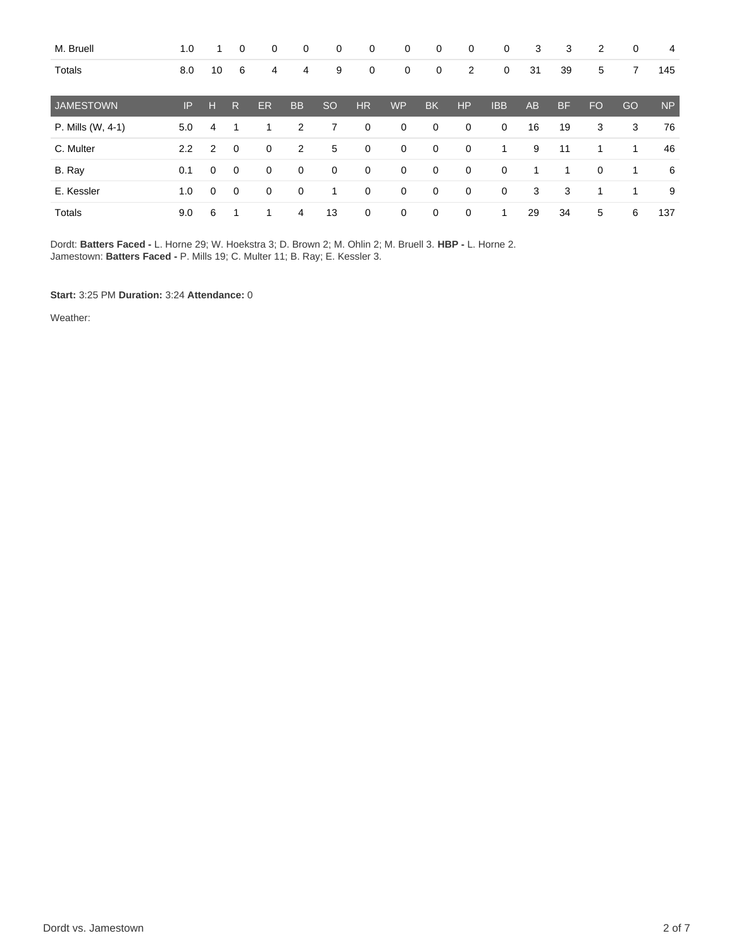| M. Bruell         | 1.0 | 1  | 0              | 0  | 0              | 0             | 0           | 0           | 0            | 0              | 0            | 3         | 3         | 2         | 0  | 4         |
|-------------------|-----|----|----------------|----|----------------|---------------|-------------|-------------|--------------|----------------|--------------|-----------|-----------|-----------|----|-----------|
| Totals            | 8.0 | 10 | 6              | 4  | 4              | 9             | 0           | 0           | 0            | $\overline{2}$ | 0            | 31        | 39        | 5         | 7  | 145       |
| <b>JAMESTOWN</b>  | IP  | н  | R              | ER | <b>BB</b>      | <sub>SO</sub> | <b>HR</b>   | <b>WP</b>   | <b>BK</b>    | <b>HP</b>      | <b>IBB</b>   | <b>AB</b> | <b>BF</b> | <b>FO</b> | GO | <b>NP</b> |
| P. Mills (W, 4-1) | 5.0 | 4  | 1              |    | $\overline{2}$ | 7             | $\mathbf 0$ | 0           | $\mathbf 0$  | 0              | $\mathbf 0$  | 16        | 19        | 3         | 3  | 76        |
| C. Multer         | 2.2 | 2  | $\mathbf 0$    | 0  | $\overline{2}$ | 5             | 0           | $\mathbf 0$ | $\mathbf 0$  | 0              | 1            | 9         | 11        | 1         | 1  | 46        |
| B. Ray            | 0.1 | 0  | $\overline{0}$ | 0  | 0              | 0             | 0           | 0           | 0            | 0              | 0            | 1         | 1         | 0         | 1  | 6         |
| E. Kessler        | 1.0 | 0  | $\mathbf 0$    | 0  | $\mathbf 0$    | 1             | $\mathbf 0$ | $\mathbf 0$ | $\mathbf{0}$ | $\mathbf 0$    | $\mathbf{0}$ | 3         | 3         | 1         | 1  | 9         |
| <b>Totals</b>     | 9.0 | 6  |                |    | 4              | 13            | $\mathbf 0$ | 0           | $\mathbf 0$  | $\mathbf 0$    | 1            | 29        | 34        | 5         | 6  | 137       |

Dordt: **Batters Faced -** L. Horne 29; W. Hoekstra 3; D. Brown 2; M. Ohlin 2; M. Bruell 3. **HBP -** L. Horne 2. Jamestown: **Batters Faced -** P. Mills 19; C. Multer 11; B. Ray; E. Kessler 3.

**Start:** 3:25 PM **Duration:** 3:24 **Attendance:** 0

Weather: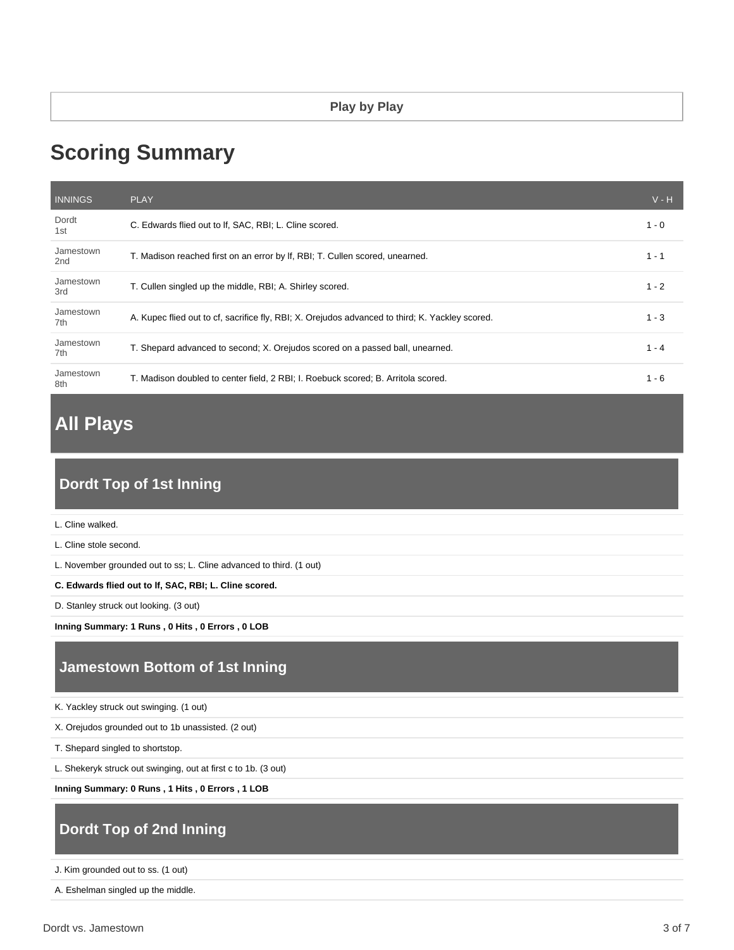# **Scoring Summary**

| <b>INNINGS</b>               | <b>PLAY</b>                                                                                     | $V - H$ |
|------------------------------|-------------------------------------------------------------------------------------------------|---------|
| Dordt<br>1st                 | C. Edwards flied out to If, SAC, RBI; L. Cline scored.                                          | 1 - 0   |
| Jamestown<br>2 <sub>nd</sub> | T. Madison reached first on an error by If, RBI; T. Cullen scored, unearned.                    | $1 - 1$ |
| Jamestown<br>3rd             | T. Cullen singled up the middle, RBI; A. Shirley scored.                                        | $1 - 2$ |
| Jamestown<br>7th             | A. Kupec flied out to cf, sacrifice fly, RBI; X. Orejudos advanced to third; K. Yackley scored. | $1 - 3$ |
| Jamestown<br>7th             | T. Shepard advanced to second; X. Orejudos scored on a passed ball, unearned.                   | $1 - 4$ |
| Jamestown<br>8th             | T. Madison doubled to center field, 2 RBI; I. Roebuck scored; B. Arritola scored.               | $1 - 6$ |

# **All Plays**

# **Dordt Top of 1st Inning**

L. Cline walked.

L. Cline stole second.

L. November grounded out to ss; L. Cline advanced to third. (1 out)

**C. Edwards flied out to lf, SAC, RBI; L. Cline scored.**

D. Stanley struck out looking. (3 out)

**Inning Summary: 1 Runs , 0 Hits , 0 Errors , 0 LOB**

## **Jamestown Bottom of 1st Inning**

K. Yackley struck out swinging. (1 out)

X. Orejudos grounded out to 1b unassisted. (2 out)

T. Shepard singled to shortstop.

L. Shekeryk struck out swinging, out at first c to 1b. (3 out)

**Inning Summary: 0 Runs , 1 Hits , 0 Errors , 1 LOB**

# **Dordt Top of 2nd Inning**

J. Kim grounded out to ss. (1 out)

A. Eshelman singled up the middle.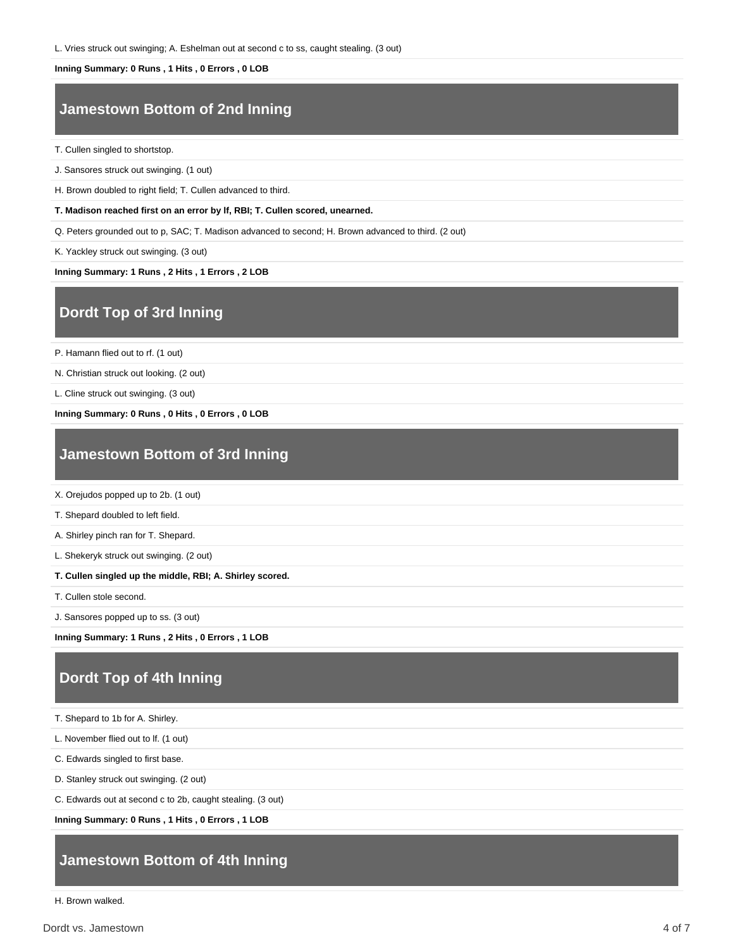L. Vries struck out swinging; A. Eshelman out at second c to ss, caught stealing. (3 out)

#### **Inning Summary: 0 Runs , 1 Hits , 0 Errors , 0 LOB**

### **Jamestown Bottom of 2nd Inning**

T. Cullen singled to shortstop.

J. Sansores struck out swinging. (1 out)

H. Brown doubled to right field; T. Cullen advanced to third.

**T. Madison reached first on an error by lf, RBI; T. Cullen scored, unearned.**

Q. Peters grounded out to p, SAC; T. Madison advanced to second; H. Brown advanced to third. (2 out)

K. Yackley struck out swinging. (3 out)

**Inning Summary: 1 Runs , 2 Hits , 1 Errors , 2 LOB**

#### **Dordt Top of 3rd Inning**

P. Hamann flied out to rf. (1 out)

N. Christian struck out looking. (2 out)

L. Cline struck out swinging. (3 out)

**Inning Summary: 0 Runs , 0 Hits , 0 Errors , 0 LOB**

#### **Jamestown Bottom of 3rd Inning**

X. Orejudos popped up to 2b. (1 out)

T. Shepard doubled to left field.

A. Shirley pinch ran for T. Shepard.

L. Shekeryk struck out swinging. (2 out)

**T. Cullen singled up the middle, RBI; A. Shirley scored.**

T. Cullen stole second.

J. Sansores popped up to ss. (3 out)

**Inning Summary: 1 Runs , 2 Hits , 0 Errors , 1 LOB**

## **Dordt Top of 4th Inning**

T. Shepard to 1b for A. Shirley.

L. November flied out to lf. (1 out)

C. Edwards singled to first base.

D. Stanley struck out swinging. (2 out)

C. Edwards out at second c to 2b, caught stealing. (3 out)

**Inning Summary: 0 Runs , 1 Hits , 0 Errors , 1 LOB**

### **Jamestown Bottom of 4th Inning**

H. Brown walked.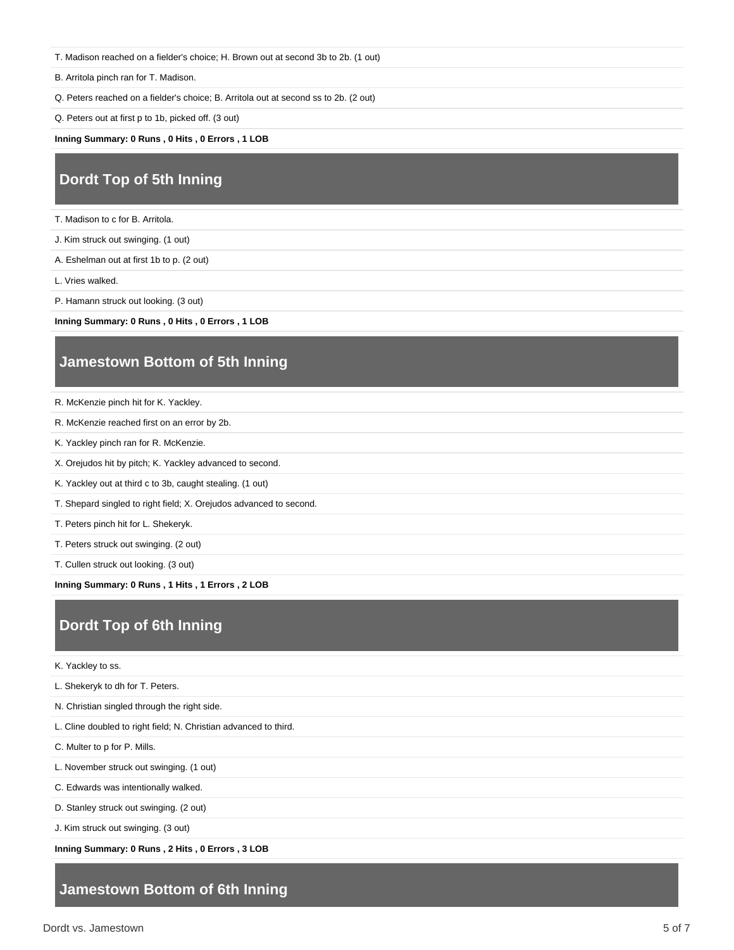T. Madison reached on a fielder's choice; H. Brown out at second 3b to 2b. (1 out)

B. Arritola pinch ran for T. Madison.

Q. Peters reached on a fielder's choice; B. Arritola out at second ss to 2b. (2 out)

Q. Peters out at first p to 1b, picked off. (3 out)

**Inning Summary: 0 Runs , 0 Hits , 0 Errors , 1 LOB**

#### **Dordt Top of 5th Inning**

T. Madison to c for B. Arritola.

J. Kim struck out swinging. (1 out)

A. Eshelman out at first 1b to p. (2 out)

L. Vries walked.

P. Hamann struck out looking. (3 out)

**Inning Summary: 0 Runs , 0 Hits , 0 Errors , 1 LOB**

#### **Jamestown Bottom of 5th Inning**

R. McKenzie pinch hit for K. Yackley.

- R. McKenzie reached first on an error by 2b.
- K. Yackley pinch ran for R. McKenzie.
- X. Orejudos hit by pitch; K. Yackley advanced to second.
- K. Yackley out at third c to 3b, caught stealing. (1 out)
- T. Shepard singled to right field; X. Orejudos advanced to second.
- T. Peters pinch hit for L. Shekeryk.

T. Peters struck out swinging. (2 out)

T. Cullen struck out looking. (3 out)

**Inning Summary: 0 Runs , 1 Hits , 1 Errors , 2 LOB**

#### **Dordt Top of 6th Inning**

K. Yackley to ss.

L. Shekeryk to dh for T. Peters.

N. Christian singled through the right side.

L. Cline doubled to right field; N. Christian advanced to third.

C. Multer to p for P. Mills.

L. November struck out swinging. (1 out)

C. Edwards was intentionally walked.

D. Stanley struck out swinging. (2 out)

J. Kim struck out swinging. (3 out)

**Inning Summary: 0 Runs , 2 Hits , 0 Errors , 3 LOB**

#### **Jamestown Bottom of 6th Inning**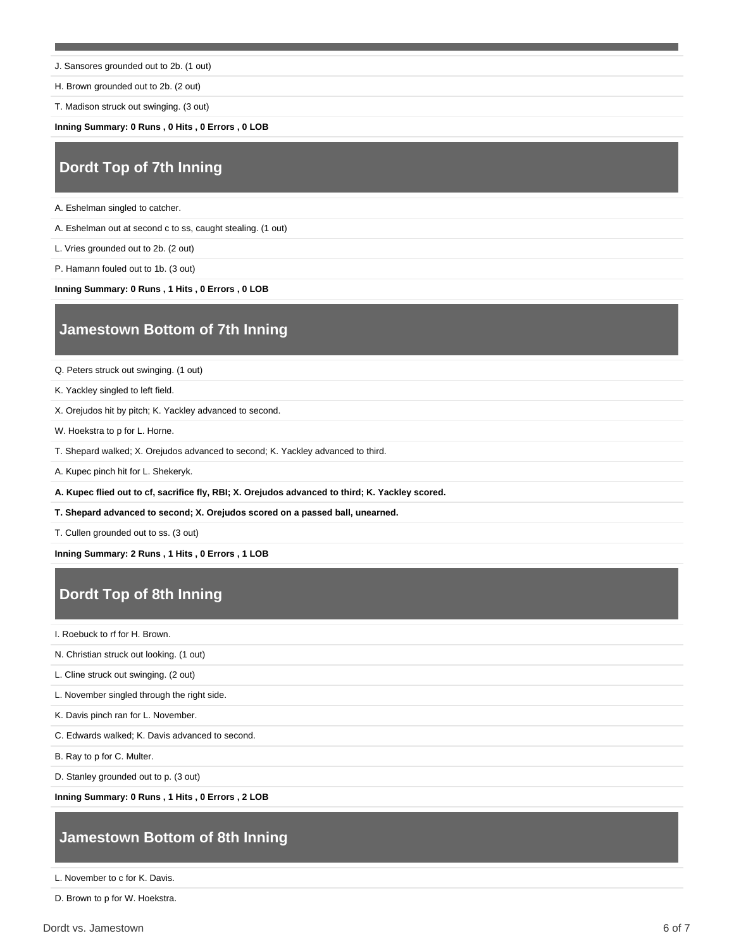J. Sansores grounded out to 2b. (1 out)

H. Brown grounded out to 2b. (2 out)

T. Madison struck out swinging. (3 out)

**Inning Summary: 0 Runs , 0 Hits , 0 Errors , 0 LOB**

## **Dordt Top of 7th Inning**

A. Eshelman singled to catcher.

A. Eshelman out at second c to ss, caught stealing. (1 out)

L. Vries grounded out to 2b. (2 out)

P. Hamann fouled out to 1b. (3 out)

**Inning Summary: 0 Runs , 1 Hits , 0 Errors , 0 LOB**

### **Jamestown Bottom of 7th Inning**

Q. Peters struck out swinging. (1 out)

K. Yackley singled to left field.

X. Orejudos hit by pitch; K. Yackley advanced to second.

W. Hoekstra to p for L. Horne.

T. Shepard walked; X. Orejudos advanced to second; K. Yackley advanced to third.

A. Kupec pinch hit for L. Shekeryk.

**A. Kupec flied out to cf, sacrifice fly, RBI; X. Orejudos advanced to third; K. Yackley scored.**

**T. Shepard advanced to second; X. Orejudos scored on a passed ball, unearned.**

T. Cullen grounded out to ss. (3 out)

**Inning Summary: 2 Runs , 1 Hits , 0 Errors , 1 LOB**

### **Dordt Top of 8th Inning**

I. Roebuck to rf for H. Brown.

N. Christian struck out looking. (1 out)

L. Cline struck out swinging. (2 out)

L. November singled through the right side.

K. Davis pinch ran for L. November.

C. Edwards walked; K. Davis advanced to second.

B. Ray to p for C. Multer.

D. Stanley grounded out to p. (3 out)

**Inning Summary: 0 Runs , 1 Hits , 0 Errors , 2 LOB**

#### **Jamestown Bottom of 8th Inning**

L. November to c for K. Davis.

D. Brown to p for W. Hoekstra.